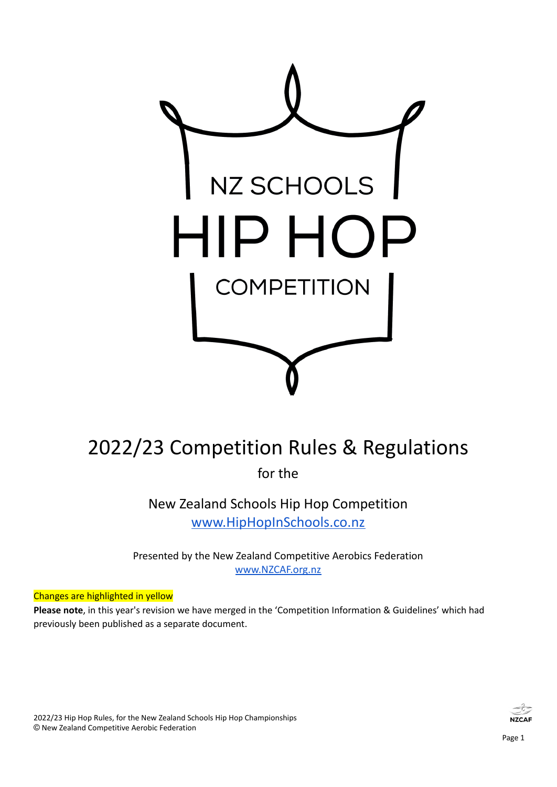

# 2022/23 Competition Rules & Regulations

for the

New Zealand Schools Hip Hop Competition [www.HipHopInSchools.co.nz](http://www.hiphopinschools.co.nz)

Presented by the New Zealand Competitive Aerobics Federation [www.NZCAF.org.nz](http://www.nzcaf.org.nz)

#### Changes are highlighted in yellow

**Please note**, in this year's revision we have merged in the 'Competition Information & Guidelines' which had previously been published as a separate document.

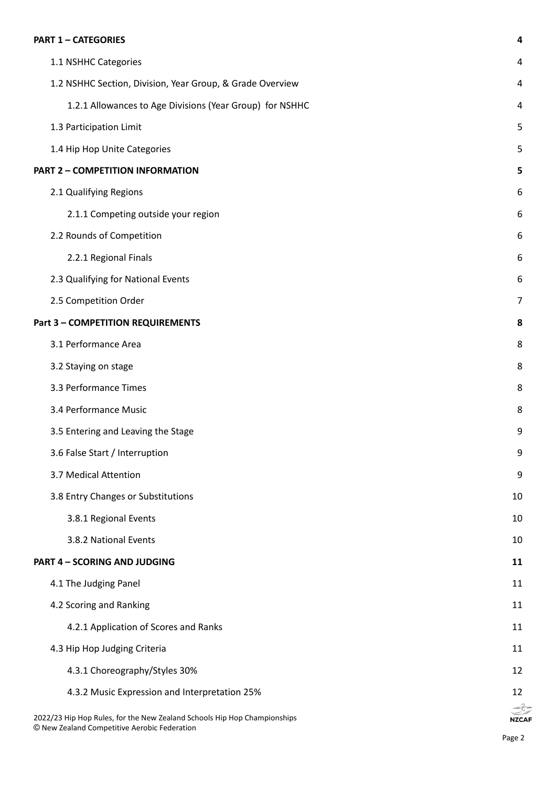#### **PART 1 – [CATEGORIES](#page-3-0) [4](#page-3-0)**

| 1.1 NSHHC Categories                                                                                                     | 4                      |
|--------------------------------------------------------------------------------------------------------------------------|------------------------|
| 1.2 NSHHC Section, Division, Year Group, & Grade Overview                                                                | 4                      |
| 1.2.1 Allowances to Age Divisions (Year Group) for NSHHC                                                                 | 4                      |
| 1.3 Participation Limit                                                                                                  | 5                      |
| 1.4 Hip Hop Unite Categories                                                                                             | 5                      |
| <b>PART 2 - COMPETITION INFORMATION</b>                                                                                  | 5                      |
| 2.1 Qualifying Regions                                                                                                   | 6                      |
| 2.1.1 Competing outside your region                                                                                      | 6                      |
| 2.2 Rounds of Competition                                                                                                | 6                      |
| 2.2.1 Regional Finals                                                                                                    | 6                      |
| 2.3 Qualifying for National Events                                                                                       | 6                      |
| 2.5 Competition Order                                                                                                    | 7                      |
| <b>Part 3 - COMPETITION REQUIREMENTS</b>                                                                                 | 8                      |
| 3.1 Performance Area                                                                                                     | 8                      |
| 3.2 Staying on stage                                                                                                     | 8                      |
| 3.3 Performance Times                                                                                                    | 8                      |
| 3.4 Performance Music                                                                                                    | 8                      |
| 3.5 Entering and Leaving the Stage                                                                                       | 9                      |
| 3.6 False Start / Interruption                                                                                           | 9                      |
| 3.7 Medical Attention                                                                                                    | 9                      |
| 3.8 Entry Changes or Substitutions                                                                                       | 10                     |
| 3.8.1 Regional Events                                                                                                    | 10                     |
| 3.8.2 National Events                                                                                                    | 10                     |
| <b>PART 4 - SCORING AND JUDGING</b>                                                                                      | 11                     |
| 4.1 The Judging Panel                                                                                                    | 11                     |
| 4.2 Scoring and Ranking                                                                                                  | 11                     |
| 4.2.1 Application of Scores and Ranks                                                                                    | 11                     |
| 4.3 Hip Hop Judging Criteria                                                                                             | 11                     |
| 4.3.1 Choreography/Styles 30%                                                                                            | 12                     |
| 4.3.2 Music Expression and Interpretation 25%                                                                            | 12                     |
| 2022/23 Hip Hop Rules, for the New Zealand Schools Hip Hop Championships<br>© New Zealand Competitive Aerobic Federation | كتابيح<br><b>NZCAF</b> |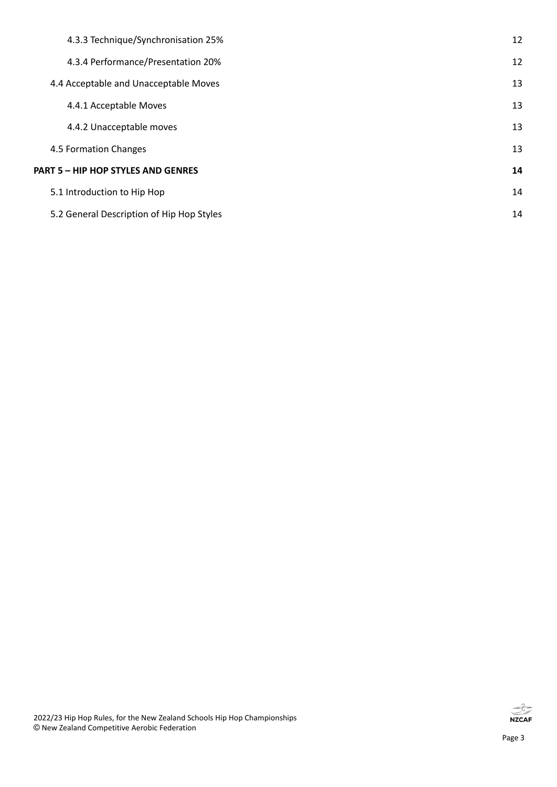| 4.3.3 Technique/Synchronisation 25%       | 12 |
|-------------------------------------------|----|
| 4.3.4 Performance/Presentation 20%        | 12 |
| 4.4 Acceptable and Unacceptable Moves     | 13 |
| 4.4.1 Acceptable Moves                    | 13 |
| 4.4.2 Unacceptable moves                  | 13 |
| 4.5 Formation Changes                     | 13 |
| <b>PART 5 - HIP HOP STYLES AND GENRES</b> | 14 |
| 5.1 Introduction to Hip Hop               | 14 |
| 5.2 General Description of Hip Hop Styles | 14 |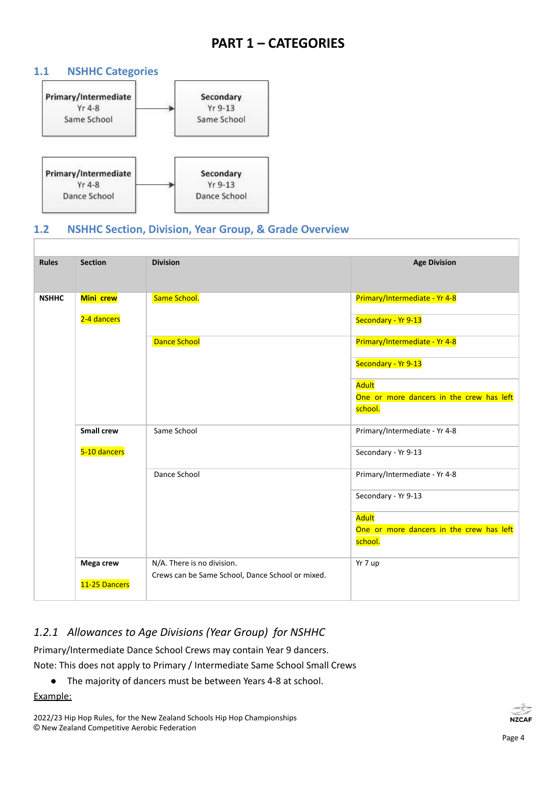## **PART 1 – CATEGORIES**

#### <span id="page-3-1"></span><span id="page-3-0"></span>**1.1 NSHHC Categories**



#### <span id="page-3-2"></span>**1.2 NSHHC Section, Division, Year Group, & Grade Overview**

| <b>Rules</b> | <b>Section</b>    | <b>Division</b>                                  | <b>Age Division</b>                      |
|--------------|-------------------|--------------------------------------------------|------------------------------------------|
| <b>NSHHC</b> | Mini crew         | Same School.                                     | Primary/Intermediate - Yr 4-8            |
|              | 2-4 dancers       |                                                  | Secondary - Yr 9-13                      |
|              |                   | <b>Dance School</b>                              | Primary/Intermediate - Yr 4-8            |
|              |                   |                                                  | Secondary - Yr 9-13                      |
|              |                   |                                                  | Adult                                    |
|              |                   |                                                  | One or more dancers in the crew has left |
|              |                   |                                                  | school.                                  |
|              | <b>Small crew</b> | Same School                                      | Primary/Intermediate - Yr 4-8            |
|              | 5-10 dancers      |                                                  | Secondary - Yr 9-13                      |
|              |                   | Dance School                                     | Primary/Intermediate - Yr 4-8            |
|              |                   |                                                  | Secondary - Yr 9-13                      |
|              |                   |                                                  | Adult                                    |
|              |                   |                                                  | One or more dancers in the crew has left |
|              |                   |                                                  | school.                                  |
|              | Mega crew         | N/A. There is no division.                       | Yr 7 up                                  |
|              | 11-25 Dancers     | Crews can be Same School, Dance School or mixed. |                                          |
|              |                   |                                                  |                                          |

### <span id="page-3-3"></span>*1.2.1 Allowances to Age Divisions (Year Group) for NSHHC*

Primary/Intermediate Dance School Crews may contain Year 9 dancers. Note: This does not apply to Primary / Intermediate Same School Small Crews

● The majority of dancers must be between Years 4-8 at school.

Example:

2022/23 Hip Hop Rules, for the New Zealand Schools Hip Hop Championships © New Zealand Competitive Aerobic Federation

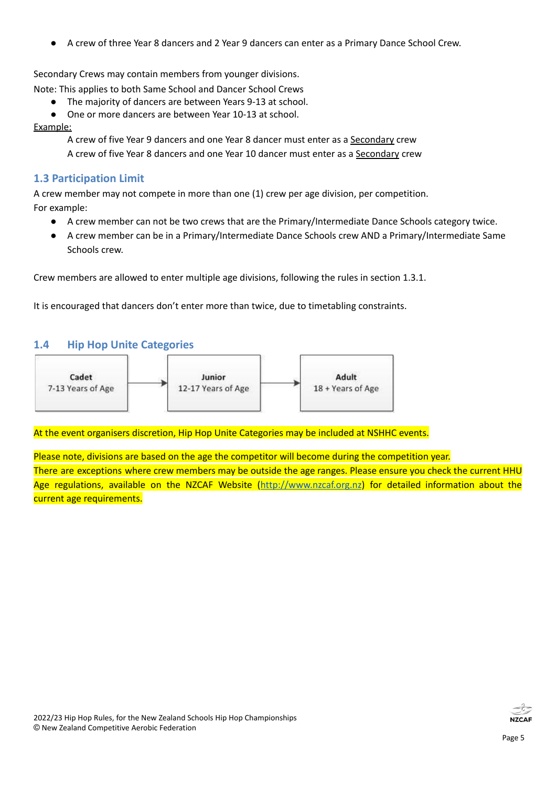A crew of three Year 8 dancers and 2 Year 9 dancers can enter as a Primary Dance School Crew.

Secondary Crews may contain members from younger divisions.

Note: This applies to both Same School and Dancer School Crews

- The majority of dancers are between Years 9-13 at school.
- One or more dancers are between Year 10-13 at school.

#### Example:

A crew of five Year 9 dancers and one Year 8 dancer must enter as a Secondary crew A crew of five Year 8 dancers and one Year 10 dancer must enter as a Secondary crew

#### <span id="page-4-0"></span>**1.3 Participation Limit**

A crew member may not compete in more than one (1) crew per age division, per competition. For example:

- A crew member can not be two crews that are the Primary/Intermediate Dance Schools category twice.
- A crew member can be in a Primary/Intermediate Dance Schools crew AND a Primary/Intermediate Same Schools crew.

Crew members are allowed to enter multiple age divisions, following the rules in section 1.3.1.

It is encouraged that dancers don't enter more than twice, due to timetabling constraints.

#### <span id="page-4-1"></span>**1.4 Hip Hop Unite Categories**



At the event organisers discretion, Hip Hop Unite Categories may be included at NSHHC events.

Please note, divisions are based on the age the competitor will become during the competition year. There are exceptions where crew members may be outside the age ranges. Please ensure you check the current HHU Age regulations, available on the NZCAF Website (<http://www.nzcaf.org.nz>) for detailed information about the current age requirements.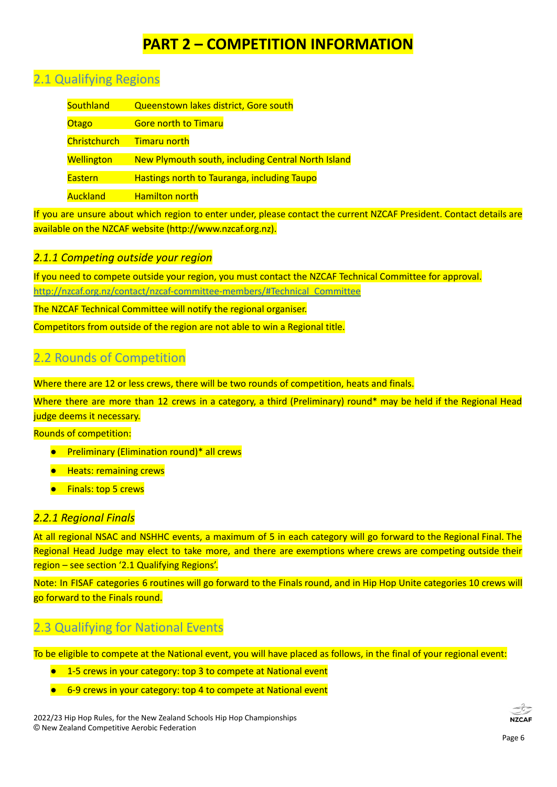## **PART 2 – COMPETITION INFORMATION**

## <span id="page-5-1"></span><span id="page-5-0"></span>2.1 Qualifying Regions

| Southland         | Queenstown lakes district, Gore south              |  |  |
|-------------------|----------------------------------------------------|--|--|
| Otago             | <b>Gore north to Timaru</b>                        |  |  |
| Christchurch      | <b>Timaru north</b>                                |  |  |
| <b>Wellington</b> | New Plymouth south, including Central North Island |  |  |
| <b>Eastern</b>    | Hastings north to Tauranga, including Taupo        |  |  |
| <b>Auckland</b>   | <b>Hamilton north</b>                              |  |  |

If you are unsure about which region to enter under, please contact the current NZCAF President. Contact details are available on the NZCAF website (http://www.nzcaf.org.nz).

#### <span id="page-5-2"></span>*2.1.1 Competing outside your region*

If you need to compete outside your region, you must contact the NZCAF Technical Committee for approval. [http://nzcaf.org.nz/contact/nzcaf-committee-members/#Technical\\_Committee](http://nzcaf.org.nz/contact/nzcaf-committee-members/#Technical_Committee)

The NZCAF Technical Committee will notify the regional organiser.

<span id="page-5-3"></span>Competitors from outside of the region are not able to win a Regional title.

## 2.2 Rounds of Competition

Where there are 12 or less crews, there will be two rounds of competition, heats and finals.

Where there are more than 12 crews in a category, a third (Preliminary) round\* may be held if the Regional Head judge deems it necessary.

Rounds of competition:

- Preliminary (Elimination round)<sup>\*</sup> all crews
- Heats: remaining crews
- Finals: top 5 crews

#### <span id="page-5-4"></span>*2.2.1 Regional Finals*

At all regional NSAC and NSHHC events, a maximum of 5 in each category will go forward to the Regional Final. The Regional Head Judge may elect to take more, and there are exemptions where crews are competing outside their region – see section '2.1 Qualifying Regions'.

Note: In FISAF categories 6 routines will go forward to the Finals round, and in Hip Hop Unite categories 10 crews will go forward to the Finals round.

## <span id="page-5-5"></span>2.3 Qualifying for National Events

To be eligible to compete at the National event, you will have placed as follows, in the final of your regional event:

- 1-5 crews in your category: top 3 to compete at National event
- 6-9 crews in your category: top 4 to compete at National event

2022/23 Hip Hop Rules, for the New Zealand Schools Hip Hop Championships © New Zealand Competitive Aerobic Federation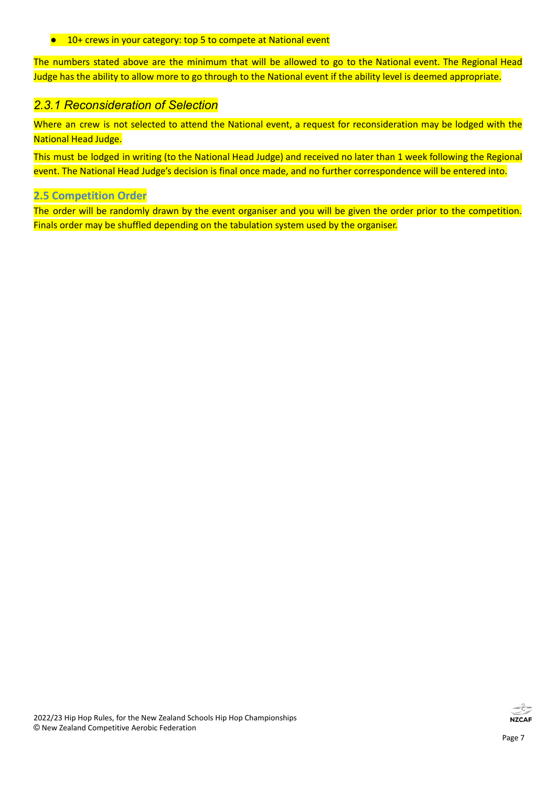#### ● 10+ crews in your category: top 5 to compete at National event

The numbers stated above are the minimum that will be allowed to go to the National event. The Regional Head Judge has the ability to allow more to go through to the National event if the ability level is deemed appropriate.

#### *2.3.1 Reconsideration of Selection*

Where an crew is not selected to attend the National event, a request for reconsideration may be lodged with the National Head Judge.

This must be lodged in writing (to the National Head Judge) and received no later than 1 week following the Regional event. The National Head Judge's decision is final once made, and no further correspondence will be entered into.

#### <span id="page-6-0"></span>**2.5 Competition Order**

The order will be randomly drawn by the event organiser and you will be given the order prior to the competition. Finals order may be shuffled depending on the tabulation system used by the organiser.



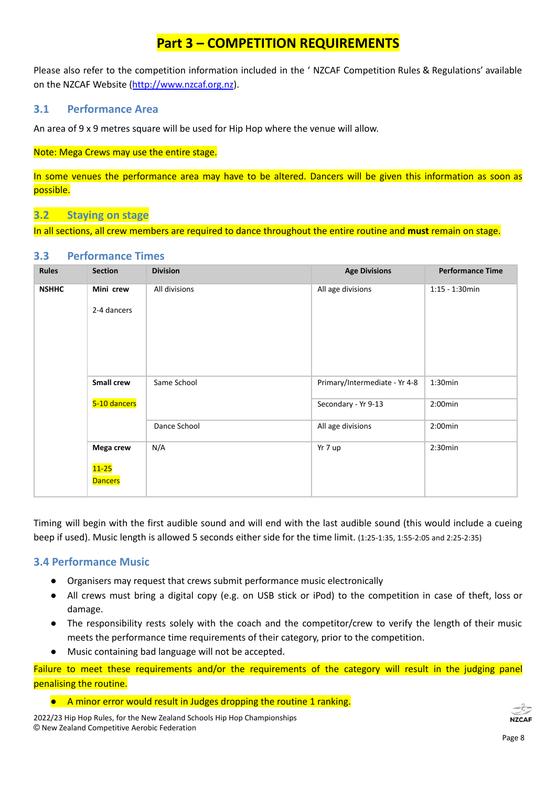## **Part 3 – COMPETITION REQUIREMENTS**

<span id="page-7-0"></span>Please also refer to the competition information included in the ' NZCAF Competition Rules & Regulations' available on the NZCAF Website ([http://www.nzcaf.org.nz\)](http://www.nzcaf.org.nz).

#### <span id="page-7-1"></span>**3.1 Performance Area**

An area of 9 x 9 metres square will be used for Hip Hop where the venue will allow.

#### Note: Mega Crews may use the entire stage.

In some venues the performance area may have to be altered. Dancers will be given this information as soon as possible.

#### <span id="page-7-2"></span>**3.2 Staying on stage**

In all sections, all crew members are required to dance throughout the entire routine and **must** remain on stage.

#### <span id="page-7-3"></span>**3.3 Performance Times**

| <b>Rules</b> | <b>Section</b>              | <b>Division</b> | <b>Age Divisions</b>          | <b>Performance Time</b> |
|--------------|-----------------------------|-----------------|-------------------------------|-------------------------|
| <b>NSHHC</b> | Mini crew                   | All divisions   | All age divisions             | $1:15 - 1:30$ min       |
|              | 2-4 dancers                 |                 |                               |                         |
|              | Small crew                  | Same School     | Primary/Intermediate - Yr 4-8 | 1:30min                 |
|              | 5-10 dancers                |                 | Secondary - Yr 9-13           | $2:00$ min              |
|              |                             | Dance School    | All age divisions             | $2:00$ min              |
|              | Mega crew                   | N/A             | Yr 7 up                       | 2:30min                 |
|              | $11 - 25$<br><b>Dancers</b> |                 |                               |                         |

Timing will begin with the first audible sound and will end with the last audible sound (this would include a cueing beep if used). Music length is allowed 5 seconds either side for the time limit. (1:25-1:35, 1:55-2:05 and 2:25-2:35)

#### <span id="page-7-4"></span>**3.4 Performance Music**

- Organisers may request that crews submit performance music electronically
- All crews must bring a digital copy (e.g. on USB stick or iPod) to the competition in case of theft, loss or damage.
- The responsibility rests solely with the coach and the competitor/crew to verify the length of their music meets the performance time requirements of their category, prior to the competition.
- Music containing bad language will not be accepted.

Failure to meet these requirements and/or the requirements of the category will result in the judging panel penalising the routine.

● A minor error would result in Judges dropping the routine 1 ranking.

2022/23 Hip Hop Rules, for the New Zealand Schools Hip Hop Championships © New Zealand Competitive Aerobic Federation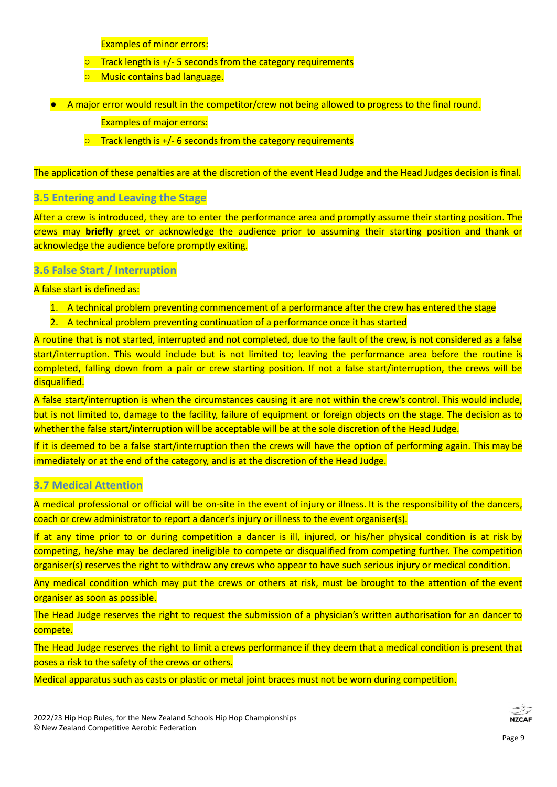Examples of minor errors:

- $\overline{\circ}$  Track length is +/- 5 seconds from the category requirements
- Music contains bad language.
- A major error would result in the competitor/crew not being allowed to progress to the final round.

Examples of major errors:

 $\circ$  Track length is +/- 6 seconds from the category requirements

The application of these penalties are at the discretion of the event Head Judge and the Head Judges decision is final.

#### <span id="page-8-0"></span>**3.5 Entering and Leaving the Stage**

After a crew is introduced, they are to enter the performance area and promptly assume their starting position. The crews may **briefly** greet or acknowledge the audience prior to assuming their starting position and thank or acknowledge the audience before promptly exiting.

#### <span id="page-8-1"></span>**3.6 False Start / Interruption**

A false start is defined as:

- 1. A technical problem preventing commencement of a performance after the crew has entered the stage
- 2. A technical problem preventing continuation of a performance once it has started

A routine that is not started, interrupted and not completed, due to the fault of the crew, is not considered as a false start/interruption. This would include but is not limited to; leaving the performance area before the routine is completed, falling down from a pair or crew starting position. If not a false start/interruption, the crews will be disqualified.

A false start/interruption is when the circumstances causing it are not within the crew's control. This would include, but is not limited to, damage to the facility, failure of equipment or foreign objects on the stage. The decision as to whether the false start/interruption will be acceptable will be at the sole discretion of the Head Judge.

If it is deemed to be a false start/interruption then the crews will have the option of performing again. This may be immediately or at the end of the category, and is at the discretion of the Head Judge.

#### <span id="page-8-2"></span>**3.7 Medical Attention**

A medical professional or official will be on-site in the event of injury or illness. It is the responsibility of the dancers, coach or crew administrator to report a dancer's injury or illness to the event organiser(s).

If at any time prior to or during competition a dancer is ill, injured, or his/her physical condition is at risk by competing, he/she may be declared ineligible to compete or disqualified from competing further. The competition organiser(s) reserves the right to withdraw any crews who appear to have such serious injury or medical condition.

Any medical condition which may put the crews or others at risk, must be brought to the attention of the event organiser as soon as possible.

The Head Judge reserves the right to request the submission of a physician's written authorisation for an dancer to compete.

The Head Judge reserves the right to limit a crews performance if they deem that a medical condition is present that poses a risk to the safety of the crews or others.

Medical apparatus such as casts or plastic or metal joint braces must not be worn during competition.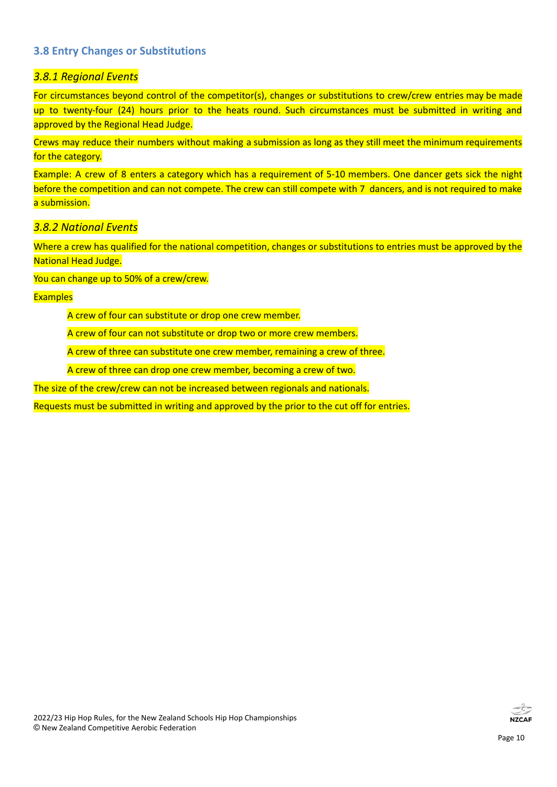#### <span id="page-9-0"></span>**3.8 Entry Changes or Substitutions**

#### <span id="page-9-1"></span>*3.8.1 Regional Events*

For circumstances beyond control of the competitor(s), changes or substitutions to crew/crew entries may be made up to twenty-four (24) hours prior to the heats round. Such circumstances must be submitted in writing and approved by the Regional Head Judge.

Crews may reduce their numbers without making a submission as long as they still meet the minimum requirements for the category.

Example: A crew of 8 enters a category which has a requirement of 5-10 members. One dancer gets sick the night before the competition and can not compete. The crew can still compete with 7 dancers, and is not required to make a submission.

#### <span id="page-9-2"></span>*3.8.2 National Events*

Where a crew has qualified for the national competition, changes or substitutions to entries must be approved by the National Head Judge.

You can change up to 50% of a crew/crew.

#### **Examples**

A crew of four can substitute or drop one crew member.

A crew of four can not substitute or drop two or more crew members.

A crew of three can substitute one crew member, remaining a crew of three.

A crew of three can drop one crew member, becoming a crew of two.

The size of the crew/crew can not be increased between regionals and nationals.

Requests must be submitted in writing and approved by the prior to the cut off for entries.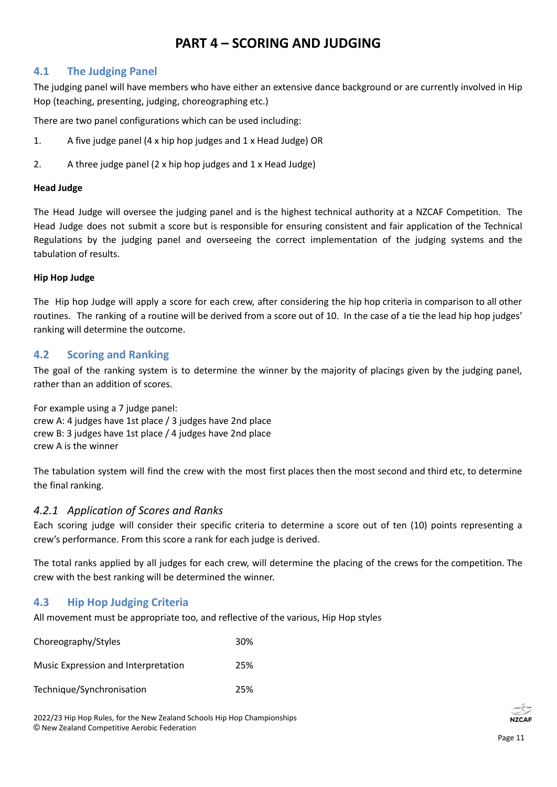## **PART 4 – SCORING AND JUDGING**

#### <span id="page-10-1"></span><span id="page-10-0"></span>**4.1 The Judging Panel**

The judging panel will have members who have either an extensive dance background or are currently involved in Hip Hop (teaching, presenting, judging, choreographing etc.)

There are two panel configurations which can be used including:

- 1. A five judge panel (4 x hip hop judges and 1 x Head Judge) OR
- 2. A three judge panel (2 x hip hop judges and 1 x Head Judge)

#### **Head Judge**

The Head Judge will oversee the judging panel and is the highest technical authority at a NZCAF Competition. The Head Judge does not submit a score but is responsible for ensuring consistent and fair application of the Technical Regulations by the judging panel and overseeing the correct implementation of the judging systems and the tabulation of results.

#### **Hip Hop Judge**

The Hip hop Judge will apply a score for each crew, after considering the hip hop criteria in comparison to all other routines. The ranking of a routine will be derived from a score out of 10. In the case of a tie the lead hip hop judges' ranking will determine the outcome.

#### <span id="page-10-2"></span>**4.2 Scoring and Ranking**

The goal of the ranking system is to determine the winner by the majority of placings given by the judging panel, rather than an addition of scores.

For example using a 7 judge panel: crew A: 4 judges have 1st place / 3 judges have 2nd place crew B: 3 judges have 1st place / 4 judges have 2nd place crew A is the winner

The tabulation system will find the crew with the most first places then the most second and third etc, to determine the final ranking.

#### <span id="page-10-3"></span>*4.2.1 Application of Scores and Ranks*

Each scoring judge will consider their specific criteria to determine a score out of ten (10) points representing a crew's performance. From this score a rank for each judge is derived.

The total ranks applied by all judges for each crew, will determine the placing of the crews for the competition. The crew with the best ranking will be determined the winner.

#### <span id="page-10-4"></span>**4.3 Hip Hop Judging Criteria**

All movement must be appropriate too, and reflective of the various, Hip Hop styles

| Choreography/Styles                 | 30% |
|-------------------------------------|-----|
| Music Expression and Interpretation | 25% |
| Technique/Synchronisation           | 25% |

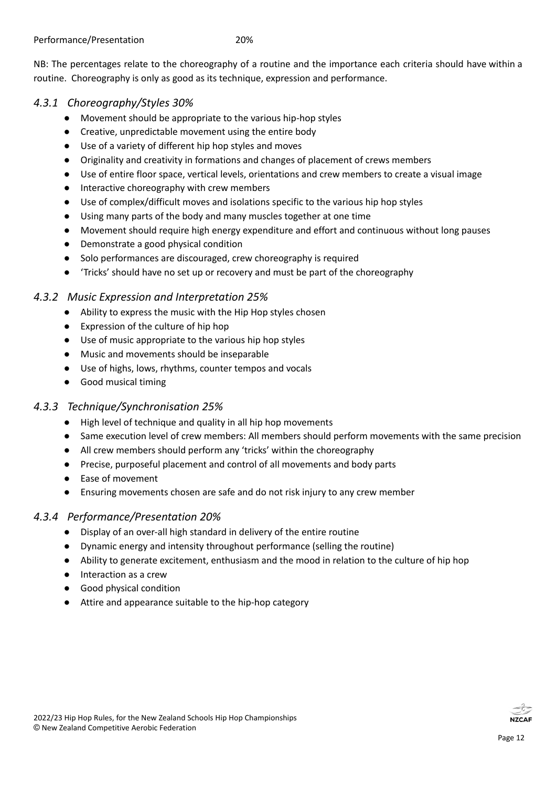NB: The percentages relate to the choreography of a routine and the importance each criteria should have within a routine. Choreography is only as good as its technique, expression and performance.

#### <span id="page-11-0"></span>*4.3.1 Choreography/Styles 30%*

- Movement should be appropriate to the various hip-hop styles
- Creative, unpredictable movement using the entire body
- Use of a variety of different hip hop styles and moves
- Originality and creativity in formations and changes of placement of crews members
- Use of entire floor space, vertical levels, orientations and crew members to create a visual image
- Interactive choreography with crew members
- Use of complex/difficult moves and isolations specific to the various hip hop styles
- Using many parts of the body and many muscles together at one time
- Movement should require high energy expenditure and effort and continuous without long pauses
- Demonstrate a good physical condition
- Solo performances are discouraged, crew choreography is required
- 'Tricks' should have no set up or recovery and must be part of the choreography

#### <span id="page-11-1"></span>*4.3.2 Music Expression and Interpretation 25%*

- Ability to express the music with the Hip Hop styles chosen
- Expression of the culture of hip hop
- Use of music appropriate to the various hip hop styles
- Music and movements should be inseparable
- Use of highs, lows, rhythms, counter tempos and vocals
- Good musical timing

#### <span id="page-11-2"></span>*4.3.3 Technique/Synchronisation 25%*

- High level of technique and quality in all hip hop movements
- Same execution level of crew members: All members should perform movements with the same precision
- All crew members should perform any 'tricks' within the choreography
- Precise, purposeful placement and control of all movements and body parts
- Ease of movement
- Ensuring movements chosen are safe and do not risk injury to any crew member

#### <span id="page-11-3"></span>*4.3.4 Performance/Presentation 20%*

- Display of an over-all high standard in delivery of the entire routine
- Dynamic energy and intensity throughout performance (selling the routine)
- Ability to generate excitement, enthusiasm and the mood in relation to the culture of hip hop
- Interaction as a crew
- Good physical condition
- Attire and appearance suitable to the hip-hop category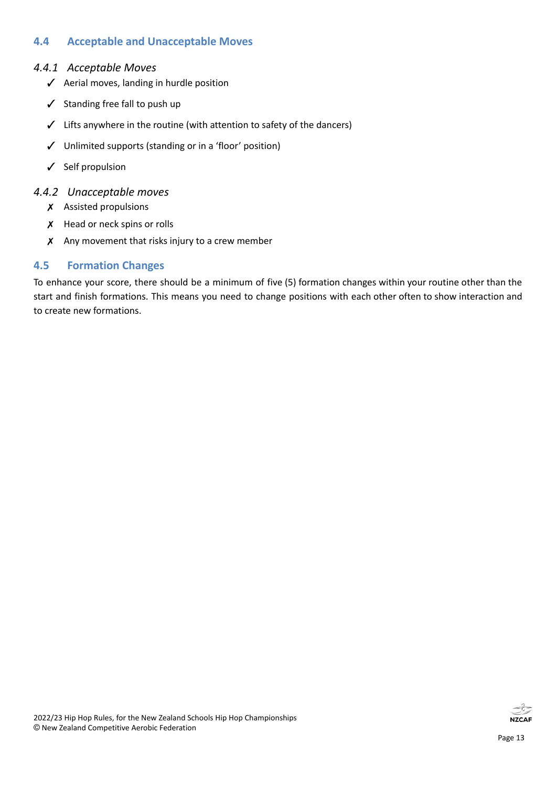#### <span id="page-12-0"></span>**4.4 Acceptable and Unacceptable Moves**

#### <span id="page-12-1"></span>*4.4.1 Acceptable Moves*

- ✓ Aerial moves, landing in hurdle position
- ✓ Standing free fall to push up
- ✓ Lifts anywhere in the routine (with attention to safety of the dancers)
- ✓ Unlimited supports (standing or in a 'floor' position)
- ✓ Self propulsion

#### <span id="page-12-2"></span>*4.4.2 Unacceptable moves*

- ✗ Assisted propulsions
- X Head or neck spins or rolls
- $\chi$  Any movement that risks injury to a crew member

#### <span id="page-12-3"></span>**4.5 Formation Changes**

To enhance your score, there should be a minimum of five (5) formation changes within your routine other than the start and finish formations. This means you need to change positions with each other often to show interaction and to create new formations.

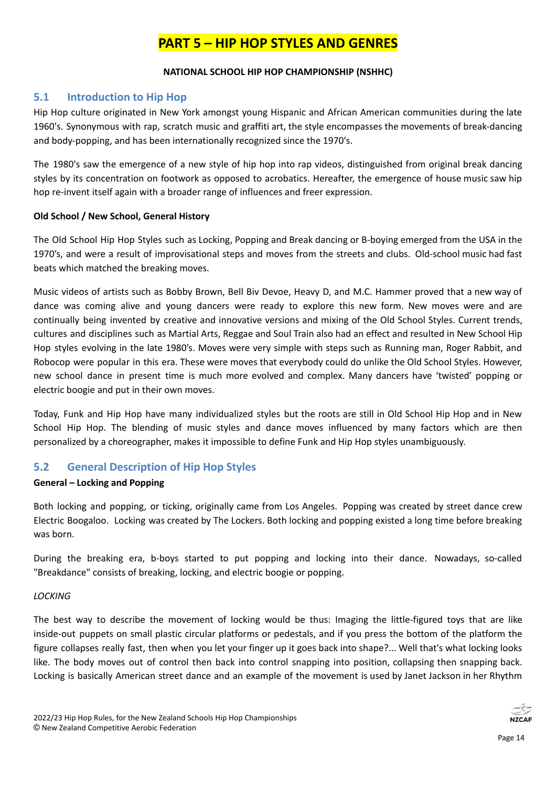## **PART 5 – HIP HOP STYLES AND GENRES**

#### **NATIONAL SCHOOL HIP HOP CHAMPIONSHIP (NSHHC)**

#### <span id="page-13-1"></span><span id="page-13-0"></span>**5.1 Introduction to Hip Hop**

Hip Hop culture originated in New York amongst young Hispanic and African American communities during the late 1960's. Synonymous with rap, scratch music and graffiti art, the style encompasses the movements of break-dancing and body-popping, and has been internationally recognized since the 1970's.

The 1980's saw the emergence of a new style of hip hop into rap videos, distinguished from original break dancing styles by its concentration on footwork as opposed to acrobatics. Hereafter, the emergence of house music saw hip hop re-invent itself again with a broader range of influences and freer expression.

#### **Old School / New School, General History**

The Old School Hip Hop Styles such as Locking, Popping and Break dancing or B-boying emerged from the USA in the 1970's, and were a result of improvisational steps and moves from the streets and clubs. Old-school music had fast beats which matched the breaking moves.

Music videos of artists such as Bobby Brown, Bell Biv Devoe, Heavy D, and M.C. Hammer proved that a new way of dance was coming alive and young dancers were ready to explore this new form. New moves were and are continually being invented by creative and innovative versions and mixing of the Old School Styles. Current trends, cultures and disciplines such as Martial Arts, Reggae and Soul Train also had an effect and resulted in New School Hip Hop styles evolving in the late 1980's. Moves were very simple with steps such as Running man, Roger Rabbit, and Robocop were popular in this era. These were moves that everybody could do unlike the Old School Styles. However, new school dance in present time is much more evolved and complex. Many dancers have 'twisted' popping or electric boogie and put in their own moves.

Today, Funk and Hip Hop have many individualized styles but the roots are still in Old School Hip Hop and in New School Hip Hop. The blending of music styles and dance moves influenced by many factors which are then personalized by a choreographer, makes it impossible to define Funk and Hip Hop styles unambiguously.

#### <span id="page-13-2"></span>**5.2 General Description of Hip Hop Styles**

#### **General – Locking and Popping**

Both locking and popping, or ticking, originally came from Los Angeles. Popping was created by street dance crew Electric Boogaloo. Locking was created by The Lockers. Both locking and popping existed a long time before breaking was born.

During the breaking era, b-boys started to put popping and locking into their dance. Nowadays, so-called "Breakdance" consists of breaking, locking, and electric boogie or popping.

#### *LOCKING*

The best way to describe the movement of locking would be thus: Imaging the little-figured toys that are like inside-out puppets on small plastic circular platforms or pedestals, and if you press the bottom of the platform the figure collapses really fast, then when you let your finger up it goes back into shape?... Well that's what locking looks like. The body moves out of control then back into control snapping into position, collapsing then snapping back. Locking is basically American street dance and an example of the movement is used by Janet Jackson in her Rhythm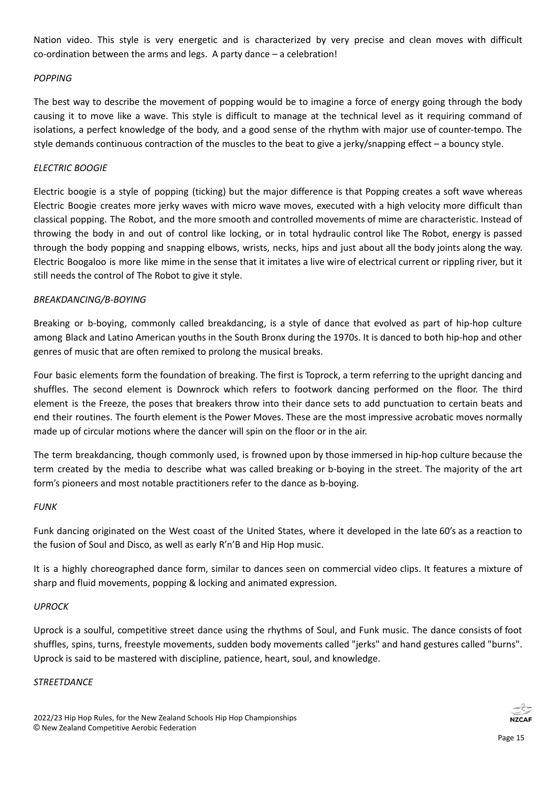Nation video. This style is very energetic and is characterized by very precise and clean moves with difficult co-ordination between the arms and legs. A party dance – a celebration!

#### *POPPING*

The best way to describe the movement of popping would be to imagine a force of energy going through the body causing it to move like a wave. This style is difficult to manage at the technical level as it requiring command of isolations, a perfect knowledge of the body, and a good sense of the rhythm with major use of counter-tempo. The style demands continuous contraction of the muscles to the beat to give a jerky/snapping effect – a bouncy style.

#### *ELECTRIC BOOGIE*

Electric boogie is a style of popping (ticking) but the major difference is that Popping creates a soft wave whereas Electric Boogie creates more jerky waves with micro wave moves, executed with a high velocity more difficult than classical popping. The Robot, and the more smooth and controlled movements of mime are characteristic. Instead of throwing the body in and out of control like locking, or in total hydraulic control like The Robot, energy is passed through the body popping and snapping elbows, wrists, necks, hips and just about all the body joints along the way. Electric Boogaloo is more like mime in the sense that it imitates a live wire of electrical current or rippling river, but it still needs the control of The Robot to give it style.

#### *BREAKDANCING/B-BOYING*

Breaking or b-boying, commonly called breakdancing, is a style of dance that evolved as part of [hip-hop](http://en.wikipedia.org/wiki/Hip_hop_culture) culture among [Black](http://en.wikipedia.org/wiki/African_American) and Latino [American](http://en.wikipedia.org/wiki/Latino_American) youths in the [South](http://en.wikipedia.org/wiki/South_Bronx,_New_York) Bronx during the 1970s. It is danced to both [hip-hop](http://en.wikipedia.org/wiki/Hip_hop_music) and other genres of music that are often [remixed](http://en.wikipedia.org/wiki/Remix) to prolong the musical [breaks](http://en.wikipedia.org/wiki/Break_(music)).

Four basic elements form the foundation of breaking. The first is Toprock, a term referring to the upright dancing and shuffles. The second element is Downrock which refers to footwork dancing performed on the floor. The third element is the Freeze, the poses that breakers throw into their dance sets to add punctuation to certain beats and end their routines. The fourth element is the Power Moves. These are the most impressive acrobatic moves normally made up of circular motions where the dancer will spin on the floor or in the air.

The term breakdancing, though commonly used, is frowned upon by those immersed in [hip-hop](http://en.wikipedia.org/wiki/Hip-hop_culture) culture because the term created by the media to describe what was called breaking or b-boying in the street. The majority of the art form's pioneers and most notable practitioners refer to the dance as b-boying.

#### *FUNK*

Funk dancing originated on the West coast of the United States, where it developed in the late 60's as a reaction to the fusion of Soul and Disco, as well as early R'n'B and Hip Hop music.

It is a highly choreographed dance form, similar to dances seen on commercial video clips. It features a mixture of sharp and fluid movements, popping & locking and animated expression.

#### *UPROCK*

Uprock is a soulful, competitive street dance using the rhythms of Soul, and Funk music. The dance consists of foot shuffles, spins, turns, freestyle movements, sudden body movements called "jerks" and hand gestures called "burns". Uprock is said to be mastered with discipline, patience, heart, soul, and knowledge.

#### *STREETDANCE*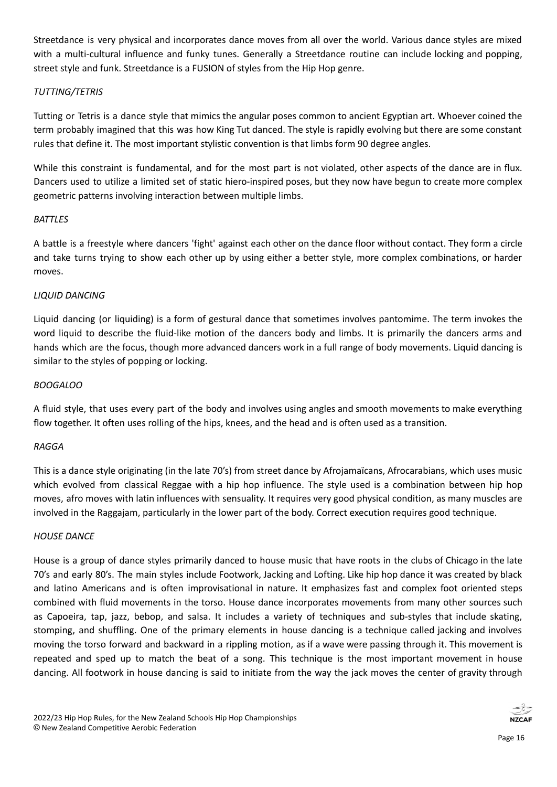Streetdance is very physical and incorporates dance moves from all over the world. Various dance styles are mixed with a multi-cultural influence and funky tunes. Generally a Streetdance routine can include locking and popping, street style and funk. Streetdance is a FUSION of styles from the Hip Hop genre.

#### *TUTTING/TETRIS*

Tutting or Tetris is a dance style that mimics the angular poses common to ancient Egyptian art. Whoever coined the term probably imagined that this was how King Tut danced. The style is rapidly evolving but there are some constant rules that define it. The most important stylistic convention is that limbs form 90 degree angles.

While this constraint is fundamental, and for the most part is not violated, other aspects of the dance are in flux. Dancers used to utilize a limited set of static hiero-inspired poses, but they now have begun to create more complex geometric patterns involving interaction between multiple limbs.

#### *BATTLES*

A battle is a freestyle where dancers 'fight' against each other on the dance floor without contact. They form a circle and take turns trying to show each other up by using either a better style, more complex combinations, or harder moves.

#### *LIQUID DANCING*

Liquid dancing (or liquiding) is a form of [gestural](http://en.wikipedia.org/wiki/Gesture) [dance](http://en.wikipedia.org/wiki/Dance) that sometimes involves pantomime. The term invokes the word liquid to describe the fluid-like motion of the dancers body and limbs. It is primarily the dancers arms and hands which are the focus, though more advanced dancers work in a full range of body movements. Liquid dancing is similar to the styles of popping or locking.

#### *BOOGALOO*

A fluid style, that uses every part of the body and involves using angles and smooth movements to make everything flow together. It often uses rolling of the hips, knees, and the head and is often used as a transition.

#### *RAGGA*

This is a dance style originating (in the late 70's) from street dance by Afrojamaïcans, Afrocarabians, which uses music which evolved from classical Reggae with a hip hop influence. The style used is a combination between hip hop moves, afro moves with latin influences with sensuality. It requires very good physical condition, as many muscles are involved in the Raggajam, particularly in the lower part of the body. Correct execution requires good technique.

#### *HOUSE DANCE*

House is a group of dance styles primarily danced to house music that have roots in the clubs of Chicago in the late 70's and early 80's. The main styles include Footwork, Jacking and Lofting. Like hip hop dance it was created by black and latino Americans and is often improvisational in nature. It emphasizes fast and complex foot oriented steps combined with fluid movements in the torso. House dance incorporates movements from many other sources such as [Capoeira,](http://en.wikipedia.org/wiki/Capoeira) [tap,](http://en.wikipedia.org/wiki/Tap_dance) [jazz,](http://en.wikipedia.org/wiki/Jazz_dance) [bebop](http://en.wikipedia.org/wiki/Bebop), and [salsa.](http://en.wikipedia.org/wiki/Salsa_(dance)) It includes a variety of techniques and sub-styles that include skating, stomping, and shuffling. One of the primary elements in house dancing is a technique called jacking and involves moving the torso forward and backward in a rippling motion, as if a wave were passing through it. This movement is repeated and sped up to match the beat of a song. This technique is the most important movement in house dancing. All footwork in house dancing is said to initiate from the way the jack moves the center of gravity through